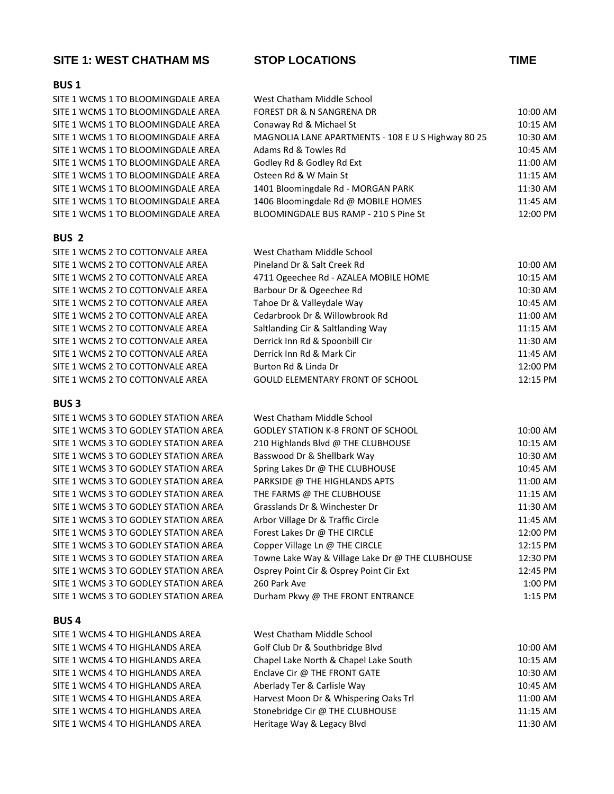### **SITE 1: WEST CHATHAM MS STOP LOCATIONS TIME**

#### **BUS 1**

SITE 1 WCMS 1 TO BLOOMINGDALE AREA West Chatham Middle School SITE 1 WCMS 1 TO BLOOMINGDALE AREA F SITE 1 WCMS 1 TO BLOOMINGDALE AREA CONA SITE 1 WCMS 1 TO BLOOMINGDALE AREA MAGNOLIA LANE APARTMENTS APARTMENTS APARTMENTS AND APARTMENTS APARTMENTS AN SITE 1 WCMS 1 TO BLOOMINGDALE AREA  $\mu$ SITE 1 WCMS 1 TO BLOOMINGDALE AREA GODD SITE 1 WCMS 1 TO BLOOMINGDALE AREA C SITE 1 WCMS 1 TO BLOOMINGDALE AREA SITE 1 WCMS 1 TO BLOOMINGDALE AREA SITE 1 WCMS 1 TO BLOOMINGDALE AREA BLOOM

#### **BUS 2**

SITE 1 WCMS 2 TO COTTONVALE AREA SITE 1 WCMS 2 TO COTTONVALE AREA SITE 1 WCMS 2 TO COTTONVALE AREA SITE 1 WCMS 2 TO COTTONVALE AREA SITE 1 WCMS 2 TO COTTONVALE AREA SITE 1 WCMS 2 TO COTTONVALE AREA SITE 1 WCMS 2 TO COTTONVALE AREA SITE 1 WCMS 2 TO COTTONVALE AREA SITE 1 WCMS 2 TO COTTONVALE AREA SITE 1 WCMS 2 TO COTTONVALE AREA SITE 1 WCMS 2 TO COTTONVALE AREA

#### **BUS 3**

SITE 1 WCMS 3 TO GODLEY STATION AREA SITE 1 WCMS 3 TO GODLEY STATION AREA SITE 1 WCMS 3 TO GODLEY STATION AREA SITE 1 WCMS 3 TO GODLEY STATION AREA SITE 1 WCMS 3 TO GODLEY STATION AREA SITE 1 WCMS 3 TO GODLEY STATION AREA SITE 1 WCMS 3 TO GODLEY STATION AREA SITE 1 WCMS 3 TO GODLEY STATION AREA SITE 1 WCMS 3 TO GODLEY STATION AREA SITE 1 WCMS 3 TO GODLEY STATION AREA SITE 1 WCMS 3 TO GODLEY STATION AREA SITE 1 WCMS 3 TO GODLEY STATION AREA SITE 1 WCMS 3 TO GODLEY STATION AREA SITE 1 WCMS 3 TO GODLEY STATION AREA SITE 1 WCMS 3 TO GODLEY STATION AREA Durham Pkwy @

#### **BUS 4**

SITE 1 WCMS 4 TO HIGHLANDS AREA SITE 1 WCMS 4 TO HIGHLANDS AREA SITE 1 WCMS 4 TO HIGHLANDS AREA SITE 1 WCMS 4 TO HIGHLANDS AREA SITE 1 WCMS 4 TO HIGHLANDS AREA SITE 1 WCMS 4 TO HIGHLANDS AREA SITE 1 WCMS 4 TO HIGHLANDS AREA SITE 1 WCMS 4 TO HIGHLANDS AREA

|  | <b>STOP LOCATIONS</b> |  |
|--|-----------------------|--|
|--|-----------------------|--|

| west Chatham Milddle School                               |          |
|-----------------------------------------------------------|----------|
| FOREST DR & N SANGRENA DR                                 | 10:00 AM |
| Conaway Rd & Michael St                                   | 10:15 AM |
| <b>MAGNOLIA LANE APARTMENTS - 108 E U S Highway 80 25</b> | 10:30 AM |
| Adams Rd & Towles Rd                                      | 10:45 AM |
| Godley Rd & Godley Rd Ext                                 | 11:00 AM |
| Dsteen Rd & W Main St                                     | 11:15 AM |
| 1401 Bloomingdale Rd - MORGAN PARK                        | 11:30 AM |
| 1406 Bloomingdale Rd @ MOBILE HOMES                       | 11:45 AM |
| BLOOMINGDALE BUS RAMP - 210 S Pine St                     | 12:00 PM |

| West Chatham Middle School              |            |
|-----------------------------------------|------------|
| Pineland Dr & Salt Creek Rd             | 10:00 AM   |
| 4711 Ogeechee Rd - AZALEA MOBILE HOME   | $10:15$ AM |
| Barbour Dr & Ogeechee Rd                | 10:30 AM   |
| Tahoe Dr & Valleydale Way               | 10:45 AM   |
| Cedarbrook Dr & Willowbrook Rd          | 11:00 AM   |
| Saltlanding Cir & Saltlanding Way       | 11:15 AM   |
| Derrick Inn Rd & Spoonbill Cir          | 11:30 AM   |
| Derrick Inn Rd & Mark Cir               | 11:45 AM   |
| Burton Rd & Linda Dr                    | 12:00 PM   |
| <b>GOULD ELEMENTARY FRONT OF SCHOOL</b> | 12:15 PM   |

| West Chatham Middle School                       |           |
|--------------------------------------------------|-----------|
| <b>GODLEY STATION K-8 FRONT OF SCHOOL</b>        | 10:00 AM  |
| 210 Highlands Blvd @ THE CLUBHOUSE               | 10:15 AM  |
| Basswood Dr & Shellbark Way                      | 10:30 AM  |
| Spring Lakes Dr @ THE CLUBHOUSE                  | 10:45 AM  |
| PARKSIDE @ THE HIGHLANDS APTS                    | 11:00 AM  |
| THE FARMS @ THE CLUBHOUSE                        | 11:15 AM  |
| Grasslands Dr & Winchester Dr                    | 11:30 AM  |
| Arbor Village Dr & Traffic Circle                | 11:45 AM  |
| Forest Lakes Dr @ THE CIRCLE                     | 12:00 PM  |
| Copper Village Ln @ THE CIRCLE                   | 12:15 PM  |
| Towne Lake Way & Village Lake Dr @ THE CLUBHOUSE | 12:30 PM  |
| Osprey Point Cir & Osprey Point Cir Ext          | 12:45 PM  |
| 260 Park Ave                                     | 1:00 PM   |
| Durham Pkwy @ THE FRONT FNTRANCE                 | $1.15$ PM |

| West Chatham Middle School            |          |
|---------------------------------------|----------|
| Golf Club Dr & Southbridge Blvd       | 10:00 AM |
| Chapel Lake North & Chapel Lake South | 10:15 AM |
| Enclave Cir @ THE FRONT GATE          | 10:30 AM |
| Aberlady Ter & Carlisle Way           | 10:45 AM |
| Harvest Moon Dr & Whispering Oaks Trl | 11:00 AM |
| Stonebridge Cir @ THE CLUBHOUSE       | 11:15 AM |
| Heritage Way & Legacy Blvd            | 11:30 AM |
|                                       |          |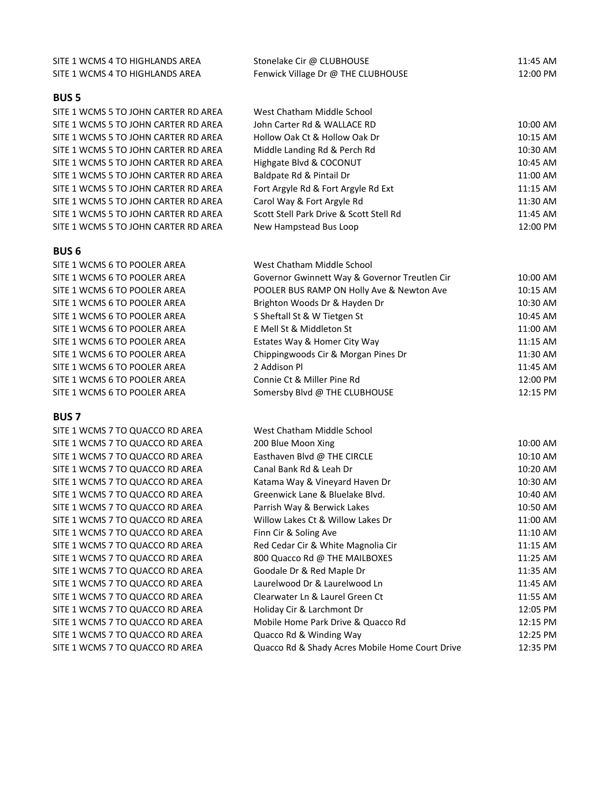| SITE 1 WCMS 4 TO HIGHLANDS AREA      | Stonelake Cir @ CLUBHOUSE                     | 11:45 AM |
|--------------------------------------|-----------------------------------------------|----------|
| SITE 1 WCMS 4 TO HIGHLANDS AREA      | Fenwick Village Dr @ THE CLUBHOUSE            | 12:00 PM |
|                                      |                                               |          |
| <b>BUS 5</b>                         |                                               |          |
| SITE 1 WCMS 5 TO JOHN CARTER RD AREA | West Chatham Middle School                    |          |
| SITE 1 WCMS 5 TO JOHN CARTER RD AREA | John Carter Rd & WALLACE RD                   | 10:00 AM |
| SITE 1 WCMS 5 TO JOHN CARTER RD AREA | Hollow Oak Ct & Hollow Oak Dr                 | 10:15 AM |
| SITE 1 WCMS 5 TO JOHN CARTER RD AREA | Middle Landing Rd & Perch Rd                  | 10:30 AM |
| SITE 1 WCMS 5 TO JOHN CARTER RD AREA | Highgate Blvd & COCONUT                       | 10:45 AM |
| SITE 1 WCMS 5 TO JOHN CARTER RD AREA | Baldpate Rd & Pintail Dr                      | 11:00 AM |
| SITE 1 WCMS 5 TO JOHN CARTER RD AREA | Fort Argyle Rd & Fort Argyle Rd Ext           | 11:15 AM |
| SITE 1 WCMS 5 TO JOHN CARTER RD AREA | Carol Way & Fort Argyle Rd                    | 11:30 AM |
| SITE 1 WCMS 5 TO JOHN CARTER RD AREA | Scott Stell Park Drive & Scott Stell Rd       | 11:45 AM |
| SITE 1 WCMS 5 TO JOHN CARTER RD AREA | New Hampstead Bus Loop                        | 12:00 PM |
|                                      |                                               |          |
| <b>BUS 6</b>                         |                                               |          |
| SITE 1 WCMS 6 TO POOLER AREA         | West Chatham Middle School                    |          |
| SITE 1 WCMS 6 TO POOLER AREA         | Governor Gwinnett Way & Governor Treutlen Cir | 10:00 AM |
| SITE 1 WCMS 6 TO POOLER AREA         | POOLER BUS RAMP ON Holly Ave & Newton Ave     | 10:15 AM |
| SITE 1 WCMS 6 TO POOLER AREA         | Brighton Woods Dr & Hayden Dr                 | 10:30 AM |
| SITE 1 WCMS 6 TO POOLER AREA         | S Sheftall St & W Tietgen St                  | 10:45 AM |
| SITE 1 WCMS 6 TO POOLER AREA         | E Mell St & Middleton St                      | 11:00 AM |
| SITE 1 WCMS 6 TO POOLER AREA         | Estates Way & Homer City Way                  | 11:15 AM |
| SITE 1 WCMS 6 TO POOLER AREA         | Chippingwoods Cir & Morgan Pines Dr           | 11:30 AM |

SITE 1 WCMS 6 TO POOLER AREA 2 Addison Pl 11:45 AM SITE 1 WCMS 6 TO POOLER AREA Connie Ct & Miller Pine Rd 12:00 PM SITE 1 WCMS 6 TO POOLER AREA Somersby Blvd @ THE CLUBHOUSE 12:15 PM

#### **BUS 7**

SITE 1 WCMS 7 TO QUACCO RD AREA West Chatham Middle School

SITE 1 WCMS 7 TO QUACCO RD AREA 200 Blue Moon Xing 10:00 AM 200 BLUE MOON AM 200 BLUE MOON AM 200 AM SITE 1 WCMS 7 TO QUACCO RD AREA Easthaven Blvd @ THE CIRCLE 10:10 AM 10:10 AM SITE 1 WCMS 7 TO QUACCO RD AREA Canal Bank Rd & Leah Dr 10:20 AM SITE 1 WCMS 7 TO QUACCO RD AREA Katama Way & Vineyard Haven Dr 10:30 AM SITE 1 WCMS 7 TO QUACCO RD AREA Greenwick Lane & Bluelake Blvd. 10:40 AM SITE 1 WCMS 7 TO QUACCO RD AREA Parrish Way & Berwick Lakes 10:50 AM SITE 1 WCMS 7 TO QUACCO RD AREA Willow Lakes Ct & Willow Lakes Dr 11:00 AM SITE 1 WCMS 7 TO QUACCO RD AREA Finn Cir & Soling Ave 11:10 AM 11:10 AM SITE 1 WCMS 7 TO QUACCO RD AREA Red Cedar Cir & White Magnolia Cir 11:15 AM SITE 1 WCMS 7 TO QUACCO RD AREA 800 Quacco Rd @ THE MAILBOXES 11:25 AM SITE 1 WCMS 7 TO QUACCO RD AREA Goodale Dr & Red Maple Dr 11:35 AM SITE 1 WCMS 7 TO QUACCO RD AREA Laurelwood Dr & Laurelwood Ln 11:45 AM SITE 1 WCMS 7 TO QUACCO RD AREA Clearwater Ln & Laurel Green Ct 11:55 AM SITE 1 WCMS 7 TO QUACCO RD AREA Holiday Cir & Larchmont Dr 12:05 PM SITE 1 WCMS 7 TO QUACCO RD AREA Mobile Home Park Drive & Quacco Rd 12:15 PM SITE 1 WCMS 7 TO QUACCO RD AREA Quacco Rd & Winding Way 12:25 PM SITE 1 WCMS 7 TO QUACCO RD AREA Quacco Rd & Shady Acres Mobile Home Court Drive 12:35 PM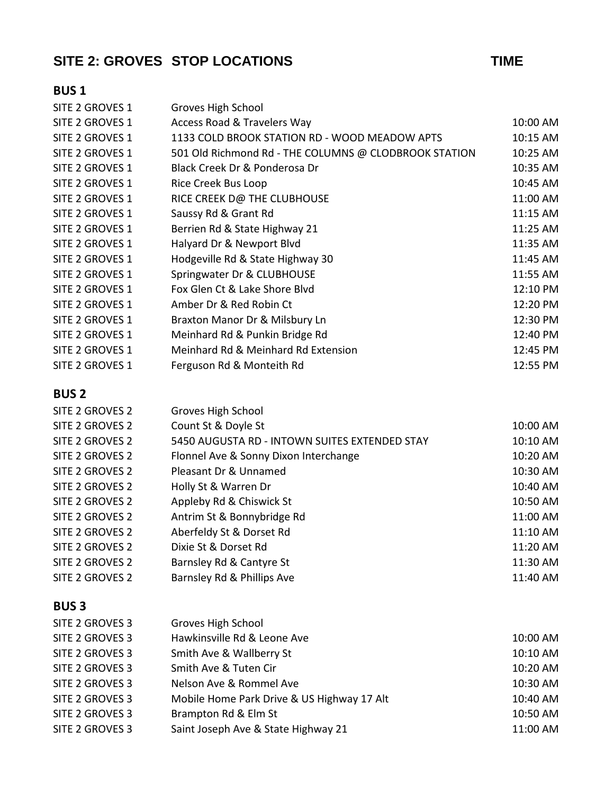# **SITE 2: GROVES STOP LOCATIONS TIME**

## **BUS 1**

| Groves High School                                    |          |
|-------------------------------------------------------|----------|
| Access Road & Travelers Way                           | 10:00 AM |
| 1133 COLD BROOK STATION RD - WOOD MEADOW APTS         | 10:15 AM |
| 501 Old Richmond Rd - THE COLUMNS @ CLODBROOK STATION | 10:25 AM |
| Black Creek Dr & Ponderosa Dr                         | 10:35 AM |
| Rice Creek Bus Loop                                   | 10:45 AM |
| RICE CREEK D@ THE CLUBHOUSE                           | 11:00 AM |
| Saussy Rd & Grant Rd                                  | 11:15 AM |
| Berrien Rd & State Highway 21                         | 11:25 AM |
| Halyard Dr & Newport Blvd                             | 11:35 AM |
| Hodgeville Rd & State Highway 30                      | 11:45 AM |
| Springwater Dr & CLUBHOUSE                            | 11:55 AM |
| Fox Glen Ct & Lake Shore Blvd                         | 12:10 PM |
| Amber Dr & Red Robin Ct                               | 12:20 PM |
| Braxton Manor Dr & Milsbury Ln                        | 12:30 PM |
| Meinhard Rd & Punkin Bridge Rd                        | 12:40 PM |
| Meinhard Rd & Meinhard Rd Extension                   | 12:45 PM |
| Ferguson Rd & Monteith Rd                             | 12:55 PM |
|                                                       |          |

## **BUS 2**

| SITE 2 GROVES 2 | Groves High School                            |          |
|-----------------|-----------------------------------------------|----------|
| SITE 2 GROVES 2 | Count St & Doyle St                           | 10:00 AM |
| SITE 2 GROVES 2 | 5450 AUGUSTA RD - INTOWN SUITES EXTENDED STAY | 10:10 AM |
| SITE 2 GROVES 2 | Flonnel Ave & Sonny Dixon Interchange         | 10:20 AM |
| SITE 2 GROVES 2 | Pleasant Dr & Unnamed                         | 10:30 AM |
| SITE 2 GROVES 2 | Holly St & Warren Dr                          | 10:40 AM |
| SITE 2 GROVES 2 | Appleby Rd & Chiswick St                      | 10:50 AM |
| SITE 2 GROVES 2 | Antrim St & Bonnybridge Rd                    | 11:00 AM |
| SITE 2 GROVES 2 | Aberfeldy St & Dorset Rd                      | 11:10 AM |
| SITE 2 GROVES 2 | Dixie St & Dorset Rd                          | 11:20 AM |
| SITE 2 GROVES 2 | Barnsley Rd & Cantyre St                      | 11:30 AM |
| SITE 2 GROVES 2 | Barnsley Rd & Phillips Ave                    | 11:40 AM |

| SITE 2 GROVES 3 | Groves High School                         |          |
|-----------------|--------------------------------------------|----------|
| SITE 2 GROVES 3 | Hawkinsville Rd & Leone Ave                | 10:00 AM |
| SITE 2 GROVES 3 | Smith Ave & Wallberry St                   | 10:10 AM |
| SITE 2 GROVES 3 | Smith Ave & Tuten Cir                      | 10:20 AM |
| SITE 2 GROVES 3 | Nelson Ave & Rommel Ave                    | 10:30 AM |
| SITE 2 GROVES 3 | Mobile Home Park Drive & US Highway 17 Alt | 10:40 AM |
| SITE 2 GROVES 3 | Brampton Rd & Elm St                       | 10:50 AM |
| SITE 2 GROVES 3 | Saint Joseph Ave & State Highway 21        | 11:00 AM |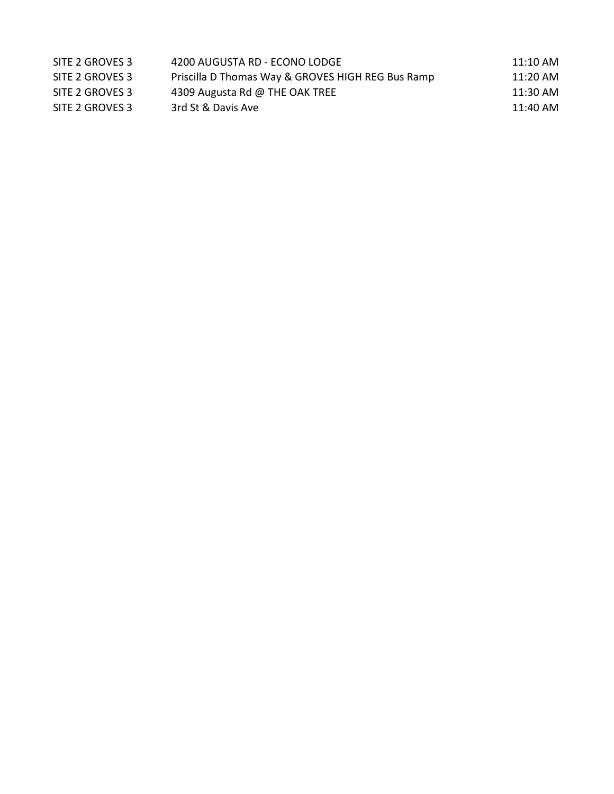| SITE 2 GROVES 3 | 4200 AUGUSTA RD - ECONO LODGE                     | 11:10 AM |
|-----------------|---------------------------------------------------|----------|
| SITE 2 GROVES 3 | Priscilla D Thomas Way & GROVES HIGH REG Bus Ramp | 11:20 AM |
| SITE 2 GROVES 3 | 4309 Augusta Rd @ THE OAK TREE                    | 11:30 AM |
| SITE 2 GROVES 3 | 3rd St & Davis Ave                                | 11:40 AM |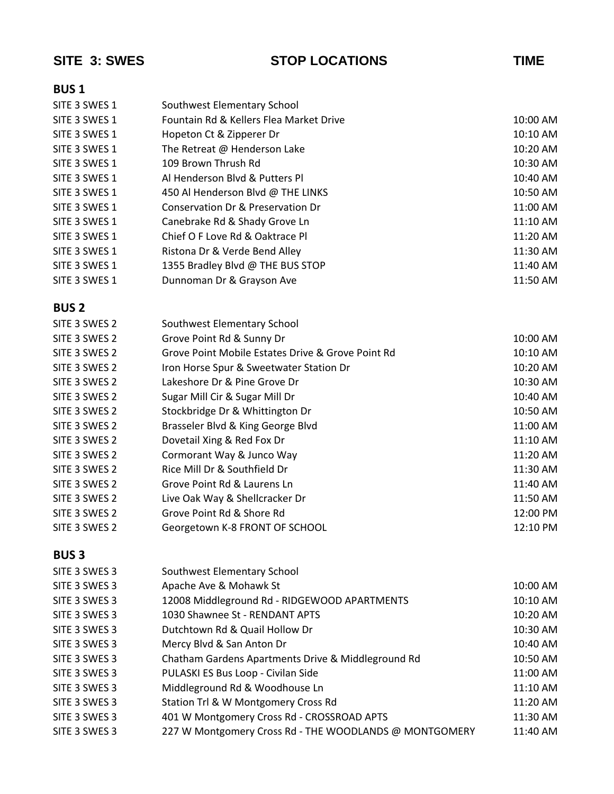| SITE 3: SWES  | <b>STOP LOCATIONS</b>                                  | <b>TIME</b> |
|---------------|--------------------------------------------------------|-------------|
| <b>BUS1</b>   |                                                        |             |
| SITE 3 SWES 1 | Southwest Elementary School                            |             |
| SITE 3 SWES 1 | Fountain Rd & Kellers Flea Market Drive                | 10:00 AM    |
| SITE 3 SWES 1 | Hopeton Ct & Zipperer Dr                               | 10:10 AM    |
| SITE 3 SWES 1 | The Retreat @ Henderson Lake                           | 10:20 AM    |
| SITE 3 SWES 1 | 109 Brown Thrush Rd                                    | 10:30 AM    |
| SITE 3 SWES 1 | Al Henderson Blvd & Putters Pl                         | 10:40 AM    |
| SITE 3 SWES 1 | 450 Al Henderson Blvd @ THE LINKS                      | 10:50 AM    |
| SITE 3 SWES 1 | Conservation Dr & Preservation Dr                      | 11:00 AM    |
| SITE 3 SWES 1 | Canebrake Rd & Shady Grove Ln                          | 11:10 AM    |
| SITE 3 SWES 1 | Chief O F Love Rd & Oaktrace Pl                        | 11:20 AM    |
| SITE 3 SWES 1 | Ristona Dr & Verde Bend Alley                          | 11:30 AM    |
| SITE 3 SWES 1 | 1355 Bradley Blvd @ THE BUS STOP                       | 11:40 AM    |
| SITE 3 SWES 1 | Dunnoman Dr & Grayson Ave                              | 11:50 AM    |
| <b>BUS2</b>   |                                                        |             |
| SITE 3 SWES 2 | Southwest Elementary School                            |             |
| SITE 3 SWES 2 | Grove Point Rd & Sunny Dr                              | 10:00 AM    |
| SITE 3 SWES 2 | Grove Point Mobile Estates Drive & Grove Point Rd      | 10:10 AM    |
| SITE 3 SWES 2 | Iron Horse Spur & Sweetwater Station Dr                | 10:20 AM    |
| SITE 3 SWES 2 | Lakeshore Dr & Pine Grove Dr                           | 10:30 AM    |
| SITE 3 SWES 2 | Sugar Mill Cir & Sugar Mill Dr                         | 10:40 AM    |
| SITE 3 SWES 2 | Stockbridge Dr & Whittington Dr                        | 10:50 AM    |
| SITE 3 SWES 2 | Brasseler Blvd & King George Blvd                      | 11:00 AM    |
| SITE 3 SWES 2 | Dovetail Xing & Red Fox Dr                             | 11:10 AM    |
| SITE 3 SWES 2 | Cormorant Way & Junco Way                              | 11:20 AM    |
| SITE 3 SWES 2 | Rice Mill Dr & Southfield Dr                           | 11:30 AM    |
| SITE 3 SWES 2 | Grove Point Rd & Laurens Ln                            | 11:40 AM    |
| SITE 3 SWES 2 | Live Oak Way & Shellcracker Dr                         | $11:50$ AM  |
| SITE 3 SWES 2 | Grove Point Rd & Shore Rd                              | 12:00 PM    |
| SITE 3 SWES 2 | Georgetown K-8 FRONT OF SCHOOL                         | 12:10 PM    |
| <b>BUS3</b>   |                                                        |             |
| SITE 3 SWES 3 | Southwest Elementary School                            |             |
| SITE 3 SWES 3 | Apache Ave & Mohawk St                                 | 10:00 AM    |
| SITE 3 SWES 3 | 12008 Middleground Rd - RIDGEWOOD APARTMENTS           | 10:10 AM    |
| SITE 3 SWES 3 | 1030 Shawnee St - RENDANT APTS                         | 10:20 AM    |
| SITE 3 SWES 3 | Dutchtown Rd & Quail Hollow Dr                         | 10:30 AM    |
| SITE 3 SWES 3 | Mercy Blvd & San Anton Dr                              | 10:40 AM    |
| SITE 3 SWES 3 | Chatham Gardens Apartments Drive & Middleground Rd     | 10:50 AM    |
| SITE 3 SWES 3 | PULASKI ES Bus Loop - Civilan Side                     | 11:00 AM    |
| SITE 3 SWES 3 | Middleground Rd & Woodhouse Ln                         | 11:10 AM    |
| SITE 3 SWES 3 | Station Trl & W Montgomery Cross Rd                    | 11:20 AM    |
| SITE 3 SWES 3 | 401 W Montgomery Cross Rd - CROSSROAD APTS             | 11:30 AM    |
| SITE 3 SWES 3 | 227 W Montgomery Cross Rd - THE WOODLANDS @ MONTGOMERY | 11:40 AM    |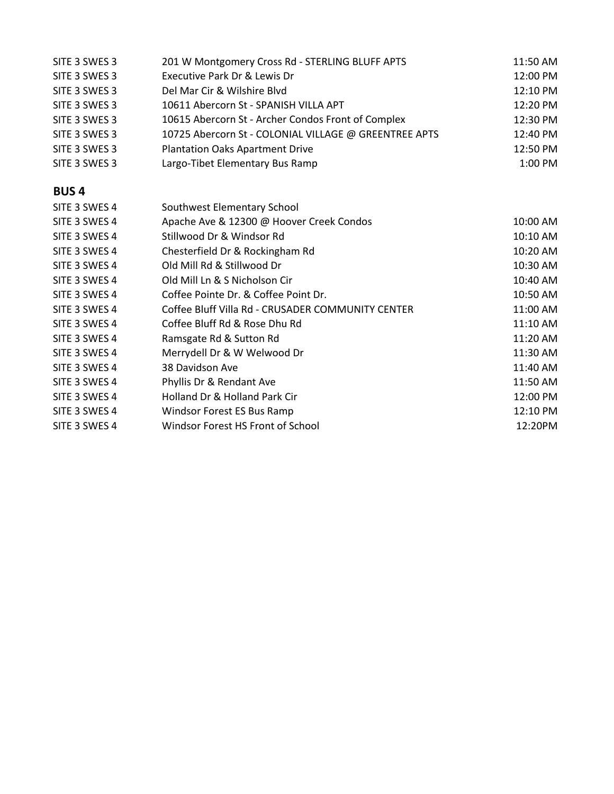| SITE 3 SWES 3 | 201 W Montgomery Cross Rd - STERLING BLUFF APTS       | 11:50 AM |
|---------------|-------------------------------------------------------|----------|
| SITE 3 SWES 3 | Executive Park Dr & Lewis Dr                          | 12:00 PM |
| SITE 3 SWES 3 | Del Mar Cir & Wilshire Blyd                           | 12:10 PM |
| SITE 3 SWES 3 | 10611 Abercorn St - SPANISH VILLA APT                 | 12:20 PM |
| SITE 3 SWES 3 | 10615 Abercorn St - Archer Condos Front of Complex    | 12:30 PM |
| SITE 3 SWES 3 | 10725 Abercorn St - COLONIAL VILLAGE @ GREENTREE APTS | 12:40 PM |
| SITE 3 SWES 3 | <b>Plantation Oaks Apartment Drive</b>                | 12:50 PM |
| SITE 3 SWES 3 | Largo-Tibet Elementary Bus Ramp                       | 1:00 PM  |
| <b>BUS4</b>   |                                                       |          |
| SITE 3 SWES 4 | Southwest Elementary School                           |          |
| SITE 3 SWES 4 | Apache Ave & 12300 @ Hoover Creek Condos              | 10:00 AM |
| SITE 3 SWES 4 | Stillwood Dr & Windsor Rd                             | 10:10 AM |
| SITE 3 SWES 4 | Chesterfield Dr & Rockingham Rd                       | 10:20 AM |
| SITE 3 SWES 4 | Old Mill Rd & Stillwood Dr                            | 10:30 AM |
| SITE 3 SWES 4 | Old Mill Ln & S Nicholson Cir                         | 10:40 AM |
| SITE 3 SWES 4 | Coffee Pointe Dr. & Coffee Point Dr.                  | 10:50 AM |
| SITE 3 SWES 4 | Coffee Bluff Villa Rd - CRUSADER COMMUNITY CENTER     | 11:00 AM |
| SITE 3 SWES 4 | Coffee Bluff Rd & Rose Dhu Rd                         | 11:10 AM |
| SITE 3 SWES 4 | Ramsgate Rd & Sutton Rd                               | 11:20 AM |
| SITE 3 SWES 4 | Merrydell Dr & W Welwood Dr                           | 11:30 AM |
| SITE 3 SWES 4 | 38 Davidson Ave                                       | 11:40 AM |
| SITE 3 SWES 4 | Phyllis Dr & Rendant Ave                              | 11:50 AM |
| SITE 3 SWES 4 | Holland Dr & Holland Park Cir                         | 12:00 PM |
| SITE 3 SWES 4 | Windsor Forest ES Bus Ramp                            | 12:10 PM |
| SITE 3 SWES 4 | Windsor Forest HS Front of School                     | 12:20PM  |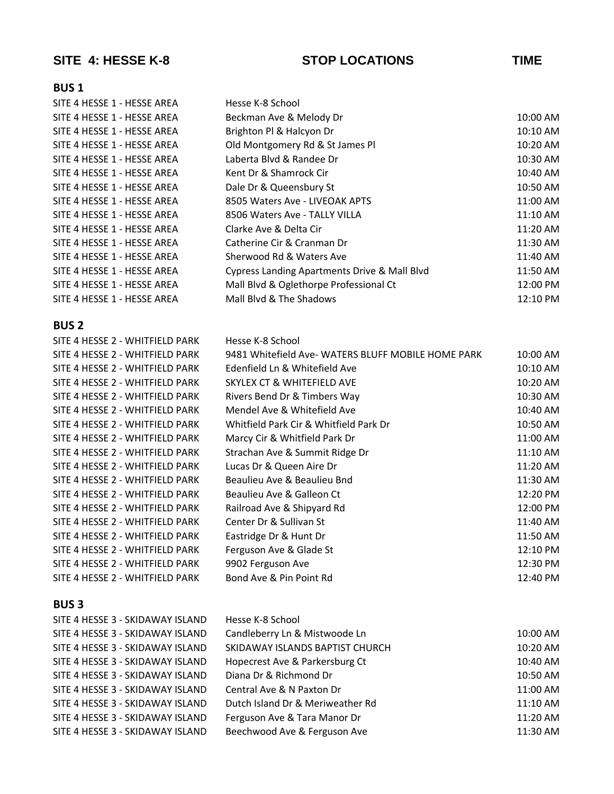## **SITE 4: HESSE K-8 STOP LOCATIONS TIME**

## **BUS 1**

| SITE 4 HESSE 1 - HESSE AREA | Hesse K-8 School                             |          |
|-----------------------------|----------------------------------------------|----------|
| SITE 4 HESSE 1 - HESSE AREA | Beckman Ave & Melody Dr                      | 10:00 AM |
| SITE 4 HESSE 1 - HESSE AREA | Brighton Pl & Halcyon Dr                     | 10:10 AM |
| SITE 4 HESSE 1 - HESSE AREA | Old Montgomery Rd & St James Pl              | 10:20 AM |
| SITE 4 HESSE 1 - HESSE AREA | Laberta Blvd & Randee Dr                     | 10:30 AM |
| SITE 4 HESSE 1 - HESSE AREA | Kent Dr & Shamrock Cir                       | 10:40 AM |
| SITE 4 HESSE 1 - HESSE AREA | Dale Dr & Queensbury St                      | 10:50 AM |
| SITE 4 HESSE 1 - HESSE AREA | 8505 Waters Ave - LIVEOAK APTS               | 11:00 AM |
| SITE 4 HESSE 1 - HESSE AREA | 8506 Waters Ave - TALLY VILLA                | 11:10 AM |
| SITE 4 HESSE 1 - HESSE AREA | Clarke Ave & Delta Cir                       | 11:20 AM |
| SITE 4 HESSE 1 - HESSE AREA | Catherine Cir & Cranman Dr                   | 11:30 AM |
| SITE 4 HESSE 1 - HESSE AREA | Sherwood Rd & Waters Ave                     | 11:40 AM |
| SITE 4 HESSE 1 - HESSE AREA | Cypress Landing Apartments Drive & Mall Blvd | 11:50 AM |
| SITE 4 HESSE 1 - HESSE AREA | Mall Blvd & Oglethorpe Professional Ct       | 12:00 PM |
| SITE 4 HESSE 1 - HESSE AREA | Mall Blvd & The Shadows                      | 12:10 PM |
|                             |                                              |          |

### **BUS 2**

| SITE 4 HESSE 2 - WHITFIELD PARK | Hesse K-8 School                                  |          |
|---------------------------------|---------------------------------------------------|----------|
| SITE 4 HESSE 2 - WHITFIELD PARK | 9481 Whitefield Ave-WATERS BLUFF MOBILE HOME PARK | 10:00 AM |
| SITE 4 HESSE 2 - WHITFIELD PARK | Edenfield Ln & Whitefield Ave                     | 10:10 AM |
| SITE 4 HESSE 2 - WHITFIELD PARK | SKYLEX CT & WHITEFIELD AVE                        | 10:20 AM |
| SITE 4 HESSE 2 - WHITFIELD PARK | Rivers Bend Dr & Timbers Way                      | 10:30 AM |
| SITE 4 HESSE 2 - WHITFIELD PARK | Mendel Ave & Whitefield Ave                       | 10:40 AM |
| SITE 4 HESSE 2 - WHITFIELD PARK | Whitfield Park Cir & Whitfield Park Dr            | 10:50 AM |
| SITE 4 HESSE 2 - WHITFIELD PARK | Marcy Cir & Whitfield Park Dr                     | 11:00 AM |
| SITE 4 HESSE 2 - WHITFIELD PARK | Strachan Ave & Summit Ridge Dr                    | 11:10 AM |
| SITE 4 HESSE 2 - WHITFIELD PARK | Lucas Dr & Queen Aire Dr                          | 11:20 AM |
| SITE 4 HESSE 2 - WHITFIELD PARK | Beaulieu Ave & Beaulieu Bnd                       | 11:30 AM |
| SITE 4 HESSE 2 - WHITFIELD PARK | Beaulieu Ave & Galleon Ct                         | 12:20 PM |
| SITE 4 HESSE 2 - WHITFIELD PARK | Railroad Ave & Shipyard Rd                        | 12:00 PM |
| SITE 4 HESSE 2 - WHITFIELD PARK | Center Dr & Sullivan St                           | 11:40 AM |
| SITE 4 HESSE 2 - WHITFIELD PARK | Eastridge Dr & Hunt Dr                            | 11:50 AM |
| SITE 4 HESSE 2 - WHITFIELD PARK | Ferguson Ave & Glade St                           | 12:10 PM |
| SITE 4 HESSE 2 - WHITFIELD PARK | 9902 Ferguson Ave                                 | 12:30 PM |
| SITE 4 HESSE 2 - WHITFIELD PARK | Bond Ave & Pin Point Rd                           | 12:40 PM |

| SITE 4 HESSE 3 - SKIDAWAY ISLAND | Hesse K-8 School                 |          |
|----------------------------------|----------------------------------|----------|
| SITE 4 HESSE 3 - SKIDAWAY ISLAND | Candleberry Ln & Mistwoode Ln    | 10:00 AM |
| SITE 4 HESSE 3 - SKIDAWAY ISLAND | SKIDAWAY ISLANDS BAPTIST CHURCH  | 10:20 AM |
| SITE 4 HESSE 3 - SKIDAWAY ISLAND | Hopecrest Ave & Parkersburg Ct   | 10:40 AM |
| SITE 4 HESSE 3 - SKIDAWAY ISLAND | Diana Dr & Richmond Dr           | 10:50 AM |
| SITE 4 HESSE 3 - SKIDAWAY ISLAND | Central Ave & N Paxton Dr        | 11:00 AM |
| SITE 4 HESSE 3 - SKIDAWAY ISLAND | Dutch Island Dr & Meriweather Rd | 11:10 AM |
| SITE 4 HESSE 3 - SKIDAWAY ISLAND | Ferguson Ave & Tara Manor Dr     | 11:20 AM |
| SITE 4 HESSE 3 - SKIDAWAY ISLAND | Beechwood Ave & Ferguson Ave     | 11:30 AM |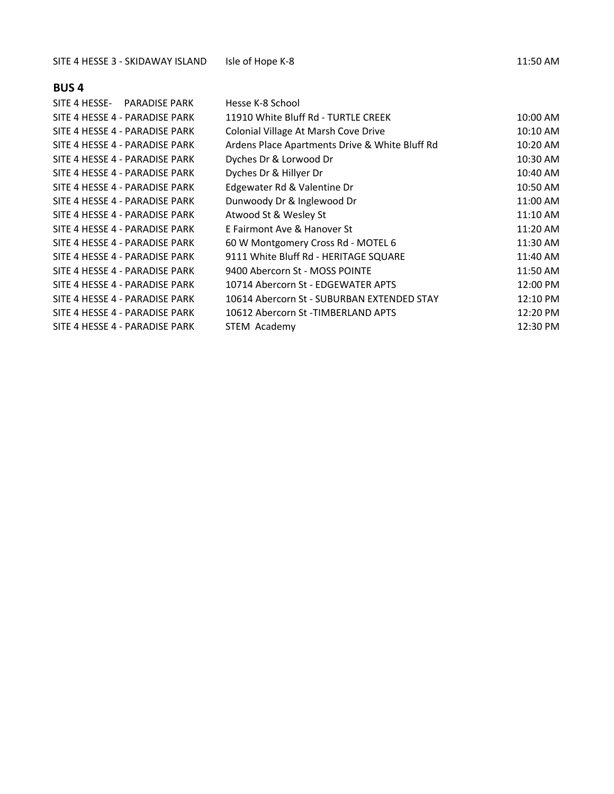| SITE 4 HESSE- PARADISE PARK    | Hesse K-8 School                               |          |
|--------------------------------|------------------------------------------------|----------|
| SITE 4 HESSE 4 - PARADISE PARK | 11910 White Bluff Rd - TURTLE CREEK            | 10:00 AM |
| SITE 4 HESSE 4 - PARADISE PARK | Colonial Village At Marsh Cove Drive           | 10:10 AM |
| SITE 4 HESSE 4 - PARADISE PARK | Ardens Place Apartments Drive & White Bluff Rd | 10:20 AM |
| SITE 4 HESSE 4 - PARADISE PARK | Dyches Dr & Lorwood Dr                         | 10:30 AM |
| SITE 4 HESSE 4 - PARADISE PARK | Dyches Dr & Hillyer Dr                         | 10:40 AM |
| SITE 4 HESSE 4 - PARADISE PARK | Edgewater Rd & Valentine Dr                    | 10:50 AM |
| SITE 4 HESSE 4 - PARADISE PARK | Dunwoody Dr & Inglewood Dr                     | 11:00 AM |
| SITE 4 HESSE 4 - PARADISE PARK | Atwood St & Wesley St                          | 11:10 AM |
| SITE 4 HESSE 4 - PARADISE PARK | E Fairmont Ave & Hanover St                    | 11:20 AM |
| SITE 4 HESSE 4 - PARADISE PARK | 60 W Montgomery Cross Rd - MOTEL 6             | 11:30 AM |
| SITE 4 HESSE 4 - PARADISE PARK | 9111 White Bluff Rd - HERITAGE SQUARE          | 11:40 AM |
| SITE 4 HESSE 4 - PARADISE PARK | 9400 Abercorn St - MOSS POINTE                 | 11:50 AM |
| SITE 4 HESSE 4 - PARADISE PARK | 10714 Abercorn St - EDGEWATER APTS             | 12:00 PM |
| SITE 4 HESSE 4 - PARADISE PARK | 10614 Abercorn St - SUBURBAN EXTENDED STAY     | 12:10 PM |
| SITE 4 HESSE 4 - PARADISE PARK | 10612 Abercorn St -TIMBERLAND APTS             | 12:20 PM |
| SITE 4 HESSE 4 - PARADISE PARK | STEM Academy                                   | 12:30 PM |
|                                |                                                |          |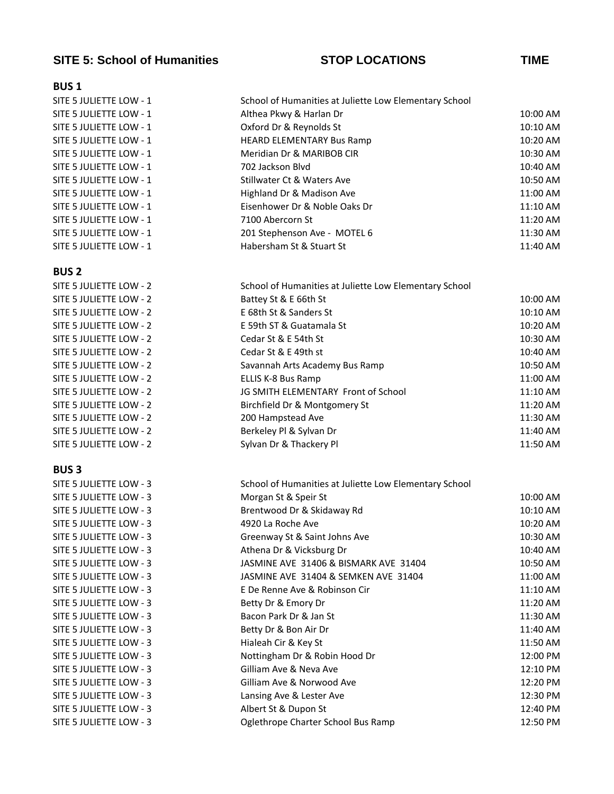### **SITE 5: School of Humanities STOP LOCATIONS TIME**

### **BUS 1**

| SITE 5 JULIETTE LOW - 1 | School of Humanities at Juliette Low Elementary School |          |  |
|-------------------------|--------------------------------------------------------|----------|--|
| SITE 5 JULIETTE LOW - 1 | Althea Pkwy & Harlan Dr                                | 10:00 AM |  |
| SITE 5 JULIETTE LOW - 1 | Oxford Dr & Reynolds St                                | 10:10 AM |  |
| SITE 5 JULIETTE LOW - 1 | <b>HEARD ELEMENTARY Bus Ramp</b>                       | 10:20 AM |  |
| SITE 5 JULIETTE LOW - 1 | Meridian Dr & MARIBOB CIR                              | 10:30 AM |  |
| SITE 5 JULIETTE LOW - 1 | 702 Jackson Blyd                                       | 10:40 AM |  |
| SITE 5 JULIETTE LOW - 1 | Stillwater Ct & Waters Ave                             | 10:50 AM |  |
| SITE 5 JULIETTE LOW - 1 | Highland Dr & Madison Ave                              | 11:00 AM |  |
| SITE 5 JULIETTE LOW - 1 | Eisenhower Dr & Noble Oaks Dr                          | 11:10 AM |  |
| SITE 5 JULIETTE LOW - 1 | 7100 Abercorn St                                       | 11:20 AM |  |
| SITE 5 JULIETTE LOW - 1 | 201 Stephenson Ave - MOTEL 6                           | 11:30 AM |  |
| SITE 5 JULIETTE LOW - 1 | Habersham St & Stuart St                               | 11:40 AM |  |
|                         |                                                        |          |  |

### **BUS 2**

| SITE 5 JULIETTE LOW - 2 | School of Humanities at Juliette Low Elementary School |          |
|-------------------------|--------------------------------------------------------|----------|
| SITE 5 JULIETTE LOW - 2 | Battey St & E 66th St                                  | 10:00 AM |
| SITE 5 JULIETTE LOW - 2 | E 68th St & Sanders St                                 | 10:10 AM |
| SITE 5 JULIETTE LOW - 2 | E 59th ST & Guatamala St                               | 10:20 AM |
| SITE 5 JULIETTE LOW - 2 | Cedar St & E 54th St                                   | 10:30 AM |
| SITE 5 JULIETTE LOW - 2 | Cedar St & E 49th st                                   | 10:40 AM |
| SITE 5 JULIETTE LOW - 2 | Savannah Arts Academy Bus Ramp                         | 10:50 AM |
| SITE 5 JULIETTE LOW - 2 | ELLIS K-8 Bus Ramp                                     | 11:00 AM |
| SITE 5 JULIETTE LOW - 2 | JG SMITH ELEMENTARY Front of School                    | 11:10 AM |
| SITE 5 JULIETTE LOW - 2 | Birchfield Dr & Montgomery St                          | 11:20 AM |
| SITE 5 JULIETTE LOW - 2 | 200 Hampstead Ave                                      | 11:30 AM |
| SITE 5 JULIETTE LOW - 2 | Berkeley Pl & Sylvan Dr                                | 11:40 AM |
| SITE 5 JULIETTE LOW - 2 | Sylvan Dr & Thackery Pl                                | 11:50 AM |
|                         |                                                        |          |

| SITE 5 JULIETTE LOW - 3 |
|-------------------------|
| SITE 5 JULIETTE LOW - 3 |
| SITE 5 JULIETTE LOW - 3 |
| SITE 5 JULIETTE LOW - 3 |
| SITE 5 JULIETTE LOW - 3 |
| SITE 5 JULIETTE LOW - 3 |
| SITE 5 JULIETTE LOW - 3 |
| SITE 5 JULIETTE LOW - 3 |
| SITE 5 JULIETTE LOW - 3 |
| SITE 5 JULIETTE LOW - 3 |
| SITE 5 JULIETTE LOW - 3 |
| SITE 5 JULIETTE LOW - 3 |
| SITE 5 JULIETTE LOW - 3 |
| SITE 5 JULIETTE LOW - 3 |
| SITE 5 JULIETTE LOW - 3 |
| SITE 5 JULIETTE LOW - 3 |
| SITE 5 JULIETTE LOW - 3 |
| SITE 5 JULIETTE LOW - 3 |
| SITE 5 JULIETTE LOW - 3 |

| SITE 5 JULIETTE LOW - 3 | School of Humanities at Juliette Low Elementary School |          |
|-------------------------|--------------------------------------------------------|----------|
| SITE 5 JULIETTE LOW - 3 | Morgan St & Speir St                                   | 10:00 AM |
| SITE 5 JULIETTE LOW - 3 | Brentwood Dr & Skidaway Rd                             | 10:10 AM |
| SITE 5 JULIETTE LOW - 3 | 4920 La Roche Ave                                      | 10:20 AM |
| SITE 5 JULIETTE LOW - 3 | Greenway St & Saint Johns Ave                          | 10:30 AM |
| SITE 5 JULIETTE LOW - 3 | Athena Dr & Vicksburg Dr                               | 10:40 AM |
| SITE 5 JULIETTE LOW - 3 | JASMINE AVE 31406 & BISMARK AVE 31404                  | 10:50 AM |
| SITE 5 JULIETTE LOW - 3 | JASMINE AVE 31404 & SEMKEN AVE 31404                   | 11:00 AM |
| SITE 5 JULIETTE LOW - 3 | E De Renne Ave & Robinson Cir                          | 11:10 AM |
| SITE 5 JULIETTE LOW - 3 | Betty Dr & Emory Dr                                    | 11:20 AM |
| SITE 5 JULIETTE LOW - 3 | Bacon Park Dr & Jan St                                 | 11:30 AM |
| SITE 5 JULIETTE LOW - 3 | Betty Dr & Bon Air Dr                                  | 11:40 AM |
| SITE 5 JULIETTE LOW - 3 | Hialeah Cir & Key St                                   | 11:50 AM |
| SITE 5 JULIETTE LOW - 3 | Nottingham Dr & Robin Hood Dr                          | 12:00 PM |
| SITE 5 JULIETTE LOW - 3 | Gilliam Ave & Neva Ave                                 | 12:10 PM |
| SITE 5 JULIETTE LOW - 3 | Gilliam Ave & Norwood Ave                              | 12:20 PM |
| SITE 5 JULIETTE LOW - 3 | Lansing Ave & Lester Ave                               | 12:30 PM |
| SITE 5 JULIETTE LOW - 3 | Albert St & Dupon St                                   | 12:40 PM |
| SITE 5 JULIETTE LOW - 3 | Oglethrope Charter School Bus Ramp                     | 12:50 PM |
|                         |                                                        |          |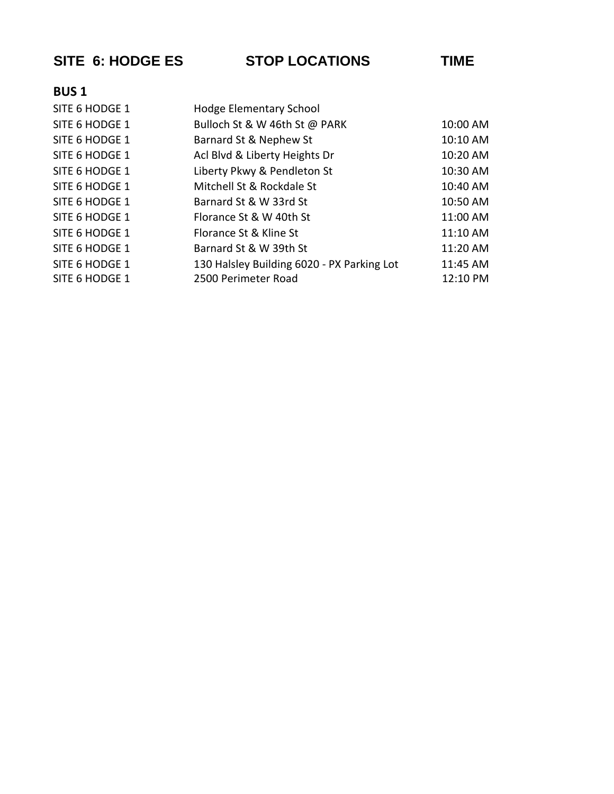**SITE 6: HODGE ES STOP LOCATIONS TIME**

| SITE 6 HODGE 1 | <b>Hodge Elementary School</b>             |          |
|----------------|--------------------------------------------|----------|
| SITE 6 HODGE 1 | Bulloch St & W 46th St @ PARK              | 10:00 AM |
| SITE 6 HODGE 1 | Barnard St & Nephew St                     | 10:10 AM |
| SITE 6 HODGE 1 | Acl Blvd & Liberty Heights Dr              | 10:20 AM |
| SITE 6 HODGE 1 | Liberty Pkwy & Pendleton St                | 10:30 AM |
| SITE 6 HODGE 1 | Mitchell St & Rockdale St                  | 10:40 AM |
| SITE 6 HODGE 1 | Barnard St & W 33rd St                     | 10:50 AM |
| SITE 6 HODGE 1 | Florance St & W 40th St                    | 11:00 AM |
| SITE 6 HODGE 1 | Florance St & Kline St                     | 11:10 AM |
| SITE 6 HODGE 1 | Barnard St & W 39th St                     | 11:20 AM |
| SITE 6 HODGE 1 | 130 Halsley Building 6020 - PX Parking Lot | 11:45 AM |
| SITE 6 HODGE 1 | 2500 Perimeter Road                        | 12:10 PM |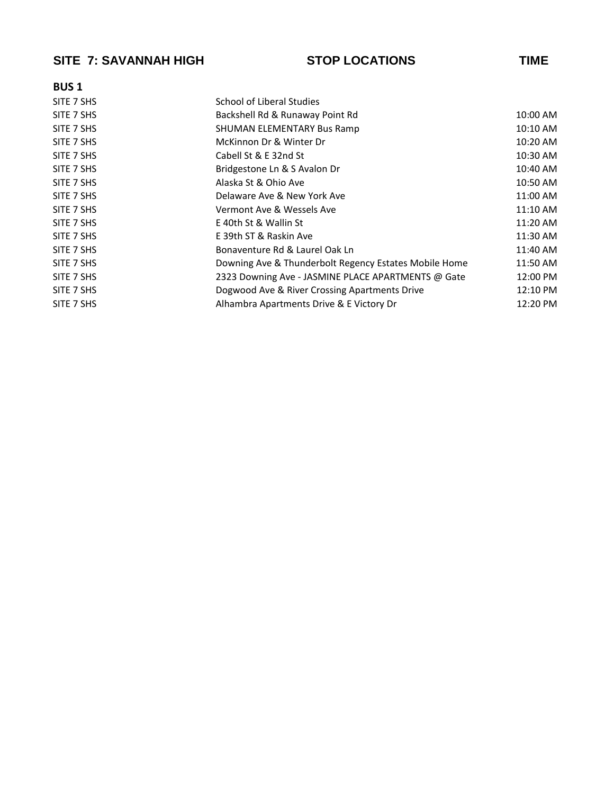## **SITE 7: SAVANNAH HIGH STOP LOCATIONS TIME**

| <b>BUS1</b> |                                                       |          |
|-------------|-------------------------------------------------------|----------|
| SITE 7 SHS  | School of Liberal Studies                             |          |
| SITE 7 SHS  | Backshell Rd & Runaway Point Rd                       | 10:00 AM |
| SITE 7 SHS  | SHUMAN ELEMENTARY Bus Ramp                            | 10:10 AM |
| SITE 7 SHS  | McKinnon Dr & Winter Dr                               | 10:20 AM |
| SITE 7 SHS  | Cabell St & E 32nd St                                 | 10:30 AM |
| SITE 7 SHS  | Bridgestone Ln & S Avalon Dr                          | 10:40 AM |
| SITE 7 SHS  | Alaska St & Ohio Ave                                  | 10:50 AM |
| SITE 7 SHS  | Delaware Ave & New York Ave                           | 11:00 AM |
| SITE 7 SHS  | Vermont Ave & Wessels Ave                             | 11:10 AM |
| SITE 7 SHS  | E 40th St & Wallin St                                 | 11:20 AM |
| SITE 7 SHS  | E 39th ST & Raskin Ave                                | 11:30 AM |
| SITE 7 SHS  | Bonaventure Rd & Laurel Oak Ln                        | 11:40 AM |
| SITE 7 SHS  | Downing Ave & Thunderbolt Regency Estates Mobile Home | 11:50 AM |
| SITE 7 SHS  | 2323 Downing Ave - JASMINE PLACE APARTMENTS @ Gate    | 12:00 PM |
| SITE 7 SHS  | Dogwood Ave & River Crossing Apartments Drive         | 12:10 PM |
| SITE 7 SHS  | Alhambra Apartments Drive & E Victory Dr              | 12:20 PM |
|             |                                                       |          |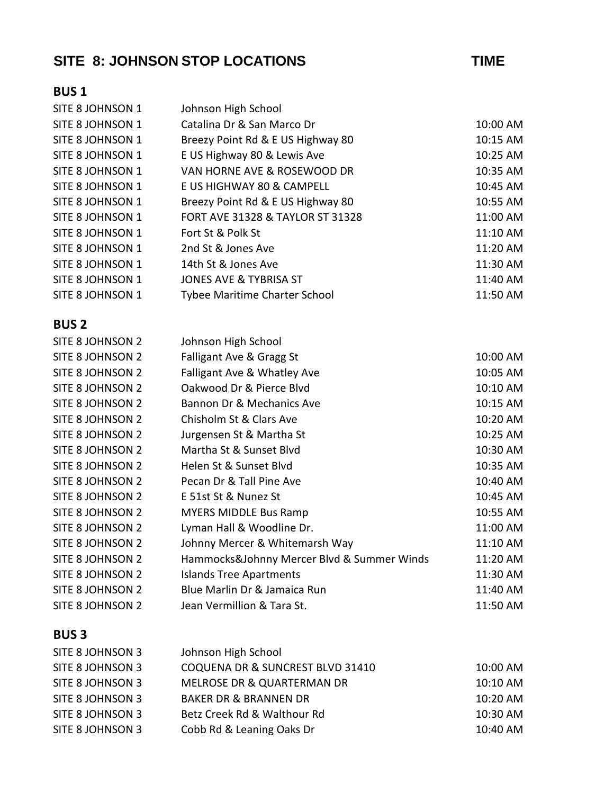# SITE 8: JOHNSON STOP LOCATIONS **TIME**

| SITE 8 JOHNSON 1 | Johnson High School                        |          |
|------------------|--------------------------------------------|----------|
| SITE 8 JOHNSON 1 | Catalina Dr & San Marco Dr                 | 10:00 AM |
| SITE 8 JOHNSON 1 | Breezy Point Rd & E US Highway 80          | 10:15 AM |
| SITE 8 JOHNSON 1 | E US Highway 80 & Lewis Ave                | 10:25 AM |
| SITE 8 JOHNSON 1 | VAN HORNE AVE & ROSEWOOD DR                | 10:35 AM |
| SITE 8 JOHNSON 1 | E US HIGHWAY 80 & CAMPELL                  | 10:45 AM |
| SITE 8 JOHNSON 1 | Breezy Point Rd & E US Highway 80          | 10:55 AM |
| SITE 8 JOHNSON 1 | FORT AVE 31328 & TAYLOR ST 31328           | 11:00 AM |
| SITE 8 JOHNSON 1 | Fort St & Polk St                          | 11:10 AM |
| SITE 8 JOHNSON 1 | 2nd St & Jones Ave                         | 11:20 AM |
| SITE 8 JOHNSON 1 | 14th St & Jones Ave                        | 11:30 AM |
| SITE 8 JOHNSON 1 | <b>JONES AVE &amp; TYBRISA ST</b>          | 11:40 AM |
| SITE 8 JOHNSON 1 | <b>Tybee Maritime Charter School</b>       | 11:50 AM |
| <b>BUS2</b>      |                                            |          |
| SITE 8 JOHNSON 2 | Johnson High School                        |          |
| SITE 8 JOHNSON 2 | Falligant Ave & Gragg St                   | 10:00 AM |
| SITE 8 JOHNSON 2 | Falligant Ave & Whatley Ave                | 10:05 AM |
| SITE 8 JOHNSON 2 | Oakwood Dr & Pierce Blvd                   | 10:10 AM |
| SITE 8 JOHNSON 2 | Bannon Dr & Mechanics Ave                  | 10:15 AM |
| SITE 8 JOHNSON 2 | Chisholm St & Clars Ave                    | 10:20 AM |
| SITE 8 JOHNSON 2 | Jurgensen St & Martha St                   | 10:25 AM |
| SITE 8 JOHNSON 2 | Martha St & Sunset Blvd                    | 10:30 AM |
| SITE 8 JOHNSON 2 | Helen St & Sunset Blvd                     | 10:35 AM |
| SITE 8 JOHNSON 2 | Pecan Dr & Tall Pine Ave                   | 10:40 AM |
| SITE 8 JOHNSON 2 | E 51st St & Nunez St                       | 10:45 AM |
| SITE 8 JOHNSON 2 | <b>MYERS MIDDLE Bus Ramp</b>               | 10:55 AM |
| SITE 8 JOHNSON 2 | Lyman Hall & Woodline Dr.                  | 11:00 AM |
| SITE 8 JOHNSON 2 | Johnny Mercer & Whitemarsh Way             | 11:10 AM |
| SITE 8 JOHNSON 2 | Hammocks&Johnny Mercer Blvd & Summer Winds | 11:20 AM |
| SITE 8 JOHNSON 2 | <b>Islands Tree Apartments</b>             | 11:30 AM |
| SITE 8 JOHNSON 2 | Blue Marlin Dr & Jamaica Run               | 11:40 AM |
| SITE 8 JOHNSON 2 | Jean Vermillion & Tara St.                 | 11:50 AM |
| <b>BUS3</b>      |                                            |          |
| SITE 8 JOHNSON 3 | Johnson High School                        |          |
| SITE 8 JOHNSON 3 | COQUENA DR & SUNCREST BLVD 31410           | 10:00 AM |

| SITE 8 JOHNSON 3 | COQUENA DR & SUNCREST BLVD 31410 | 10:00 AM   |
|------------------|----------------------------------|------------|
| SITE 8 JOHNSON 3 | MELROSE DR & QUARTERMAN DR       | $10:10$ AM |
| SITE 8 JOHNSON 3 | BAKER DR & BRANNEN DR            | 10:20 AM   |
| SITE 8 JOHNSON 3 | Betz Creek Rd & Walthour Rd      | 10:30 AM   |
| SITE 8 JOHNSON 3 | Cobb Rd & Leaning Oaks Dr        | 10:40 AM   |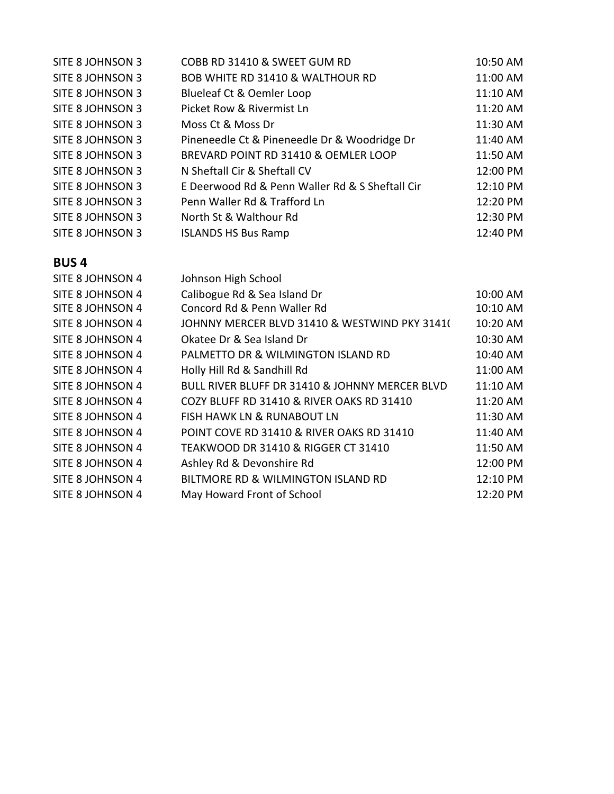| SITE 8 JOHNSON 3 | COBB RD 31410 & SWEET GUM RD                    | 10:50 AM |
|------------------|-------------------------------------------------|----------|
| SITE 8 JOHNSON 3 | <b>BOB WHITE RD 31410 &amp; WALTHOUR RD</b>     | 11:00 AM |
| SITE 8 JOHNSON 3 | Blueleaf Ct & Oemler Loop                       | 11:10 AM |
| SITE 8 JOHNSON 3 | Picket Row & Rivermist Ln                       | 11:20 AM |
| SITE 8 JOHNSON 3 | Moss Ct & Moss Dr                               | 11:30 AM |
| SITE 8 JOHNSON 3 | Pineneedle Ct & Pineneedle Dr & Woodridge Dr    | 11:40 AM |
| SITE 8 JOHNSON 3 | BREVARD POINT RD 31410 & OEMLER LOOP            | 11:50 AM |
| SITE 8 JOHNSON 3 | N Sheftall Cir & Sheftall CV                    | 12:00 PM |
| SITE 8 JOHNSON 3 | E Deerwood Rd & Penn Waller Rd & S Sheftall Cir | 12:10 PM |
| SITE 8 JOHNSON 3 | Penn Waller Rd & Trafford Ln                    | 12:20 PM |
| SITE 8 JOHNSON 3 | North St & Walthour Rd                          | 12:30 PM |
| SITE 8 JOHNSON 3 | <b>ISLANDS HS Bus Ramp</b>                      | 12:40 PM |

| SITE 8 JOHNSON 4 | Johnson High School                            |          |
|------------------|------------------------------------------------|----------|
| SITE 8 JOHNSON 4 | Calibogue Rd & Sea Island Dr                   | 10:00 AM |
| SITE 8 JOHNSON 4 | Concord Rd & Penn Waller Rd                    | 10:10 AM |
| SITE 8 JOHNSON 4 | JOHNNY MERCER BLVD 31410 & WESTWIND PKY 3141(  | 10:20 AM |
| SITE 8 JOHNSON 4 | Okatee Dr & Sea Island Dr                      | 10:30 AM |
| SITE 8 JOHNSON 4 | PALMETTO DR & WILMINGTON ISLAND RD             | 10:40 AM |
| SITE 8 JOHNSON 4 | Holly Hill Rd & Sandhill Rd                    | 11:00 AM |
| SITE 8 JOHNSON 4 | BULL RIVER BLUFF DR 31410 & JOHNNY MERCER BLVD | 11:10 AM |
| SITE 8 JOHNSON 4 | COZY BLUFF RD 31410 & RIVER OAKS RD 31410      | 11:20 AM |
| SITE 8 JOHNSON 4 | <b>FISH HAWK LN &amp; RUNABOUT LN</b>          | 11:30 AM |
| SITE 8 JOHNSON 4 | POINT COVE RD 31410 & RIVER OAKS RD 31410      | 11:40 AM |
| SITE 8 JOHNSON 4 | TEAKWOOD DR 31410 & RIGGER CT 31410            | 11:50 AM |
| SITE 8 JOHNSON 4 | Ashley Rd & Devonshire Rd                      | 12:00 PM |
| SITE 8 JOHNSON 4 | BILTMORE RD & WILMINGTON ISLAND RD             | 12:10 PM |
| SITE 8 JOHNSON 4 | May Howard Front of School                     | 12:20 PM |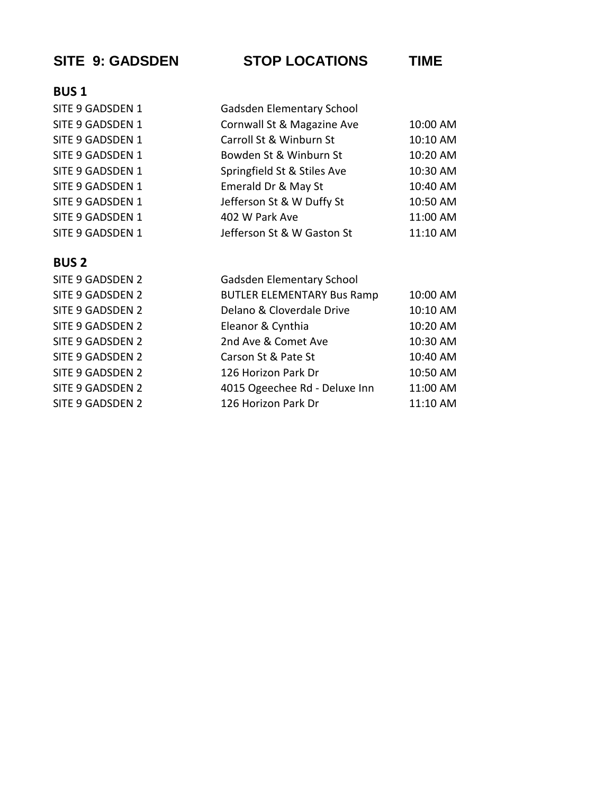## **SITE 9: GADSDEN STOP LOCATIONS TIME**

## **BUS 1**

| SITE 9 GADSDEN 1 | Gadsden Elementary School   |          |
|------------------|-----------------------------|----------|
| SITE 9 GADSDEN 1 | Cornwall St & Magazine Ave  | 10:00 AM |
| SITE 9 GADSDEN 1 | Carroll St & Winburn St     | 10:10 AM |
| SITE 9 GADSDEN 1 | Bowden St & Winburn St      | 10:20 AM |
| SITE 9 GADSDEN 1 | Springfield St & Stiles Ave | 10:30 AM |
| SITE 9 GADSDEN 1 | Emerald Dr & May St         | 10:40 AM |
| SITE 9 GADSDEN 1 | Jefferson St & W Duffy St   | 10:50 AM |
| SITE 9 GADSDEN 1 | 402 W Park Ave              | 11:00 AM |
| SITE 9 GADSDEN 1 | Jefferson St & W Gaston St  | 11:10 AM |
|                  |                             |          |

## **BUS 2**

SITE 9 GADSDEN 2 SITE 9 GADSDEN 2 SITE 9 GADSDEN 2 SITE 9 GADSDEN 2 SITE 9 GADSDEN 2 SITE 9 GADSDEN 2 SITE 9 GADSDEN 2 SITE 9 GADSDEN 2 SITE 9 GADSDEN 2

| Gadsden Elementary School         |          |
|-----------------------------------|----------|
| <b>BUTLER ELEMENTARY Bus Ramp</b> | 10:00 AM |
| Delano & Cloverdale Drive         | 10:10 AM |
| Eleanor & Cynthia                 | 10:20 AM |
| 2nd Ave & Comet Ave               | 10:30 AM |
| Carson St & Pate St               | 10:40 AM |
| 126 Horizon Park Dr               | 10:50 AM |
| 4015 Ogeechee Rd - Deluxe Inn     | 11:00 AM |
| 126 Horizon Park Dr               | 11:10 AM |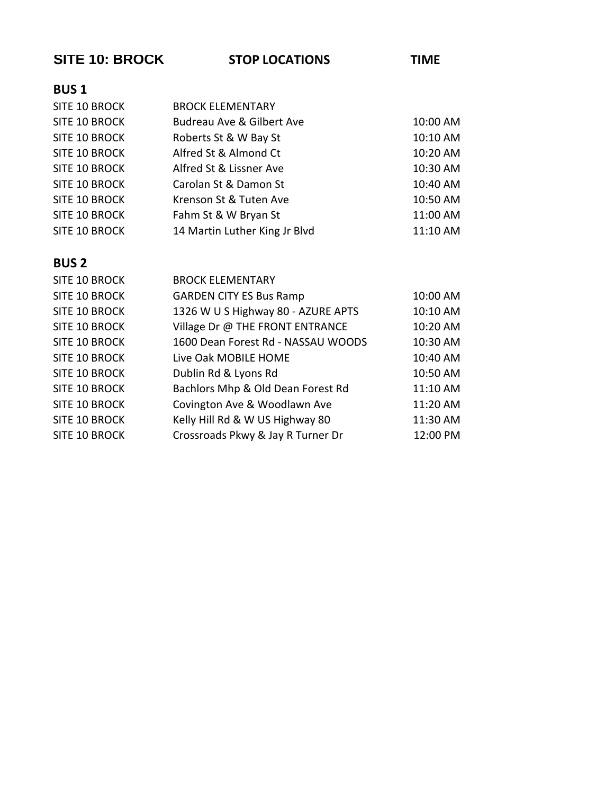| <b>SITE 10: BROCK</b> | <b>STOP LOCATIONS</b>                | <b>TIME</b> |
|-----------------------|--------------------------------------|-------------|
| <b>BUS1</b>           |                                      |             |
| SITE 10 BROCK         | <b>BROCK ELEMENTARY</b>              |             |
| SITE 10 BROCK         | <b>Budreau Ave &amp; Gilbert Ave</b> | 10:00 AM    |
| SITE 10 BROCK         | Roberts St & W Bay St                | 10:10 AM    |
| SITE 10 BROCK         | Alfred St & Almond Ct                | 10:20 AM    |
| SITE 10 BROCK         | Alfred St & Lissner Ave              | 10:30 AM    |
| SITE 10 BROCK         | Carolan St & Damon St                | 10:40 AM    |
| SITE 10 BROCK         | Krenson St & Tuten Ave               | 10:50 AM    |
| SITE 10 BROCK         | Fahm St & W Bryan St                 | 11:00 AM    |
| SITE 10 BROCK         | 14 Martin Luther King Jr Blvd        | 11:10 AM    |
|                       |                                      |             |
| <b>BUS2</b>           |                                      |             |
| SITE 10 BROCK         | <b>BROCK ELEMENTARY</b>              |             |
| SITE 10 BROCK         | <b>GARDEN CITY ES Bus Ramp</b>       | 10:00 AM    |
| SITE 10 BROCK         | 1326 W U S Highway 80 - AZURE APTS   | 10:10 AM    |
| SITE 10 BROCK         | Village Dr @ THE FRONT ENTRANCE      | 10:20 AM    |
| SITE 10 BROCK         | 1600 Dean Forest Rd - NASSAU WOODS   | 10:30 AM    |
| SITE 10 BROCK         | Live Oak MOBILE HOME                 | 10:40 AM    |
| SITE 10 BROCK         | Dublin Rd & Lyons Rd                 | 10:50 AM    |
| SITE 10 BROCK         | Bachlors Mhp & Old Dean Forest Rd    | 11:10 AM    |
| SITE 10 BROCK         | Covington Ave & Woodlawn Ave         | 11:20 AM    |
| SITE 10 BROCK         | Kelly Hill Rd & W US Highway 80      | 11:30 AM    |
| <b>SITE 10 BROCK</b>  | Crossroads Pkwy & Jay R Turner Dr    | 12:00 PM    |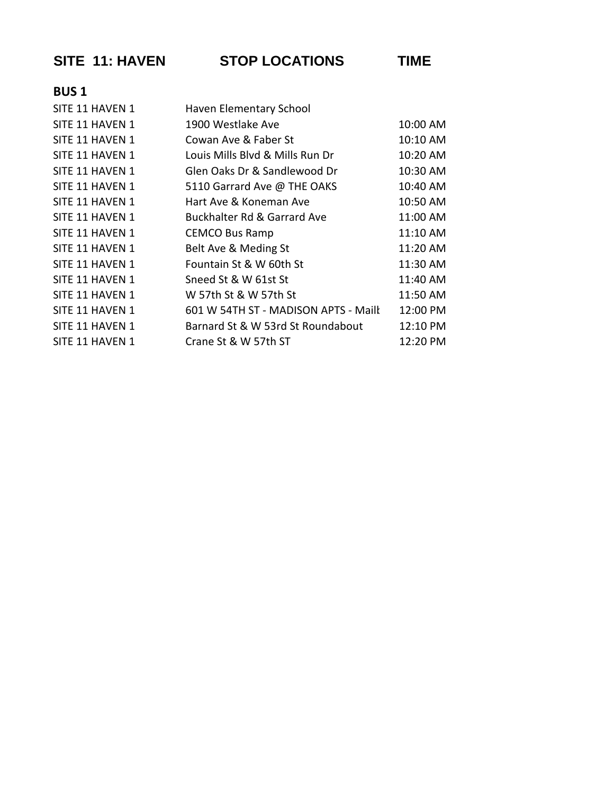|             | <b>SITE 11: HAVEN</b> | <b>STOP LOCATIONS</b>                | TIME     |
|-------------|-----------------------|--------------------------------------|----------|
| <b>BUS1</b> |                       |                                      |          |
|             | SITE 11 HAVEN 1       | Haven Elementary School              |          |
|             | SITE 11 HAVEN 1       | 1900 Westlake Ave                    | 10:00 AM |
|             | SITE 11 HAVEN 1       | Cowan Ave & Faber St                 | 10:10 AM |
|             | SITE 11 HAVEN 1       | Louis Mills Blvd & Mills Run Dr      | 10:20 AM |
|             | SITE 11 HAVEN 1       | Glen Oaks Dr & Sandlewood Dr         | 10:30 AM |
|             | SITE 11 HAVEN 1       | 5110 Garrard Ave @ THE OAKS          | 10:40 AM |
|             | SITE 11 HAVEN 1       | Hart Ave & Koneman Ave               | 10:50 AM |
|             | SITE 11 HAVEN 1       | Buckhalter Rd & Garrard Ave          | 11:00 AM |
|             | SITE 11 HAVEN 1       | <b>CEMCO Bus Ramp</b>                | 11:10 AM |
|             | SITE 11 HAVEN 1       | Belt Ave & Meding St                 | 11:20 AM |
|             | SITE 11 HAVEN 1       | Fountain St & W 60th St              | 11:30 AM |
|             | SITE 11 HAVEN 1       | Sneed St & W 61st St                 | 11:40 AM |
|             | SITE 11 HAVEN 1       | W 57th St & W 57th St                | 11:50 AM |
|             | SITE 11 HAVEN 1       | 601 W 54TH ST - MADISON APTS - Maill | 12:00 PM |
|             | SITE 11 HAVEN 1       | Barnard St & W 53rd St Roundabout    | 12:10 PM |
|             | SITE 11 HAVEN 1       | Crane St & W 57th ST                 | 12:20 PM |